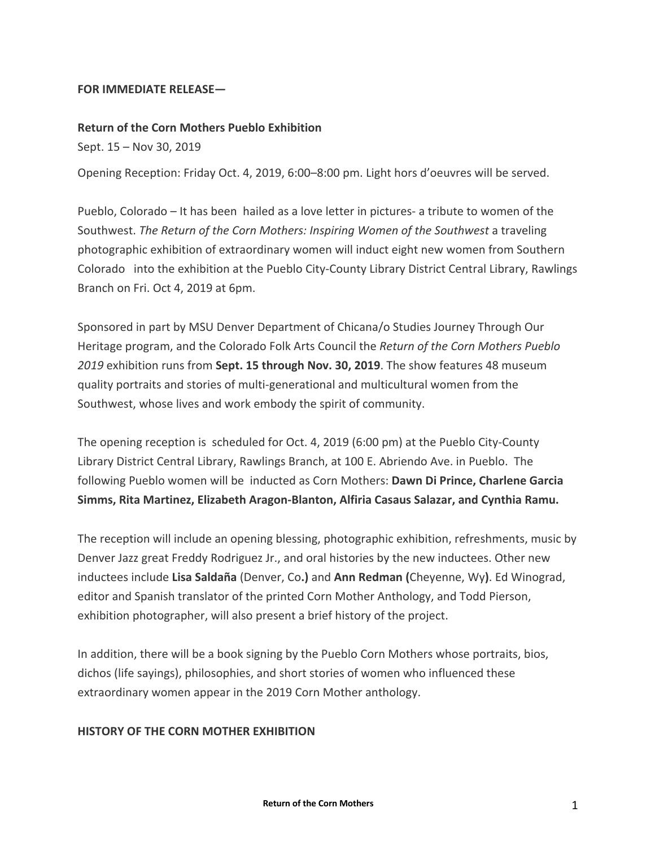## **FOR IMMEDIATE RELEASE―**

## **Return of the Corn Mothers Pueblo Exhibition**

Sept. 15 – Nov 30, 2019

Opening Reception: Friday Oct. 4, 2019, 6:00–8:00 pm. Light hors d'oeuvres will be served.

Pueblo, Colorado – It has been hailed as a love letter in pictures- a tribute to women of the Southwest. *The Return of the Corn Mothers: Inspiring Women of the Southwest* a traveling photographic exhibition of extraordinary women will induct eight new women from Southern Colorado into the exhibition at the Pueblo City-County Library District Central Library, Rawlings Branch on Fri. Oct 4, 2019 at 6pm.

Sponsored in part by MSU Denver Department of Chicana/o Studies Journey Through Our Heritage program, and the Colorado Folk Arts Council the *Return of the Corn Mothers Pueblo 2019* exhibition runs from **Sept. 15 through Nov. 30, 2019**. The show features 48 museum quality portraits and stories of multi-generational and multicultural women from the Southwest, whose lives and work embody the spirit of community.

The opening reception is scheduled for Oct. 4, 2019 (6:00 pm) at the Pueblo City-County Library District Central Library, Rawlings Branch, at 100 E. Abriendo Ave. in Pueblo. The following Pueblo women will be inducted as Corn Mothers: **Dawn Di Prince, Charlene Garcia Simms, Rita Martinez, Elizabeth Aragon-Blanton, Alfiria Casaus Salazar, and Cynthia Ramu.**

The reception will include an opening blessing, photographic exhibition, refreshments, music by Denver Jazz great Freddy Rodriguez Jr., and oral histories by the new inductees. Other new inductees include **Lisa Saldaña** (Denver, Co**.)** and **Ann Redman (**Cheyenne, Wy**)**. Ed Winograd, editor and Spanish translator of the printed Corn Mother Anthology, and Todd Pierson, exhibition photographer, will also present a brief history of the project.

In addition, there will be a book signing by the Pueblo Corn Mothers whose portraits, bios, dichos (life sayings), philosophies, and short stories of women who influenced these extraordinary women appear in the 2019 Corn Mother anthology.

## **HISTORY OF THE CORN MOTHER EXHIBITION**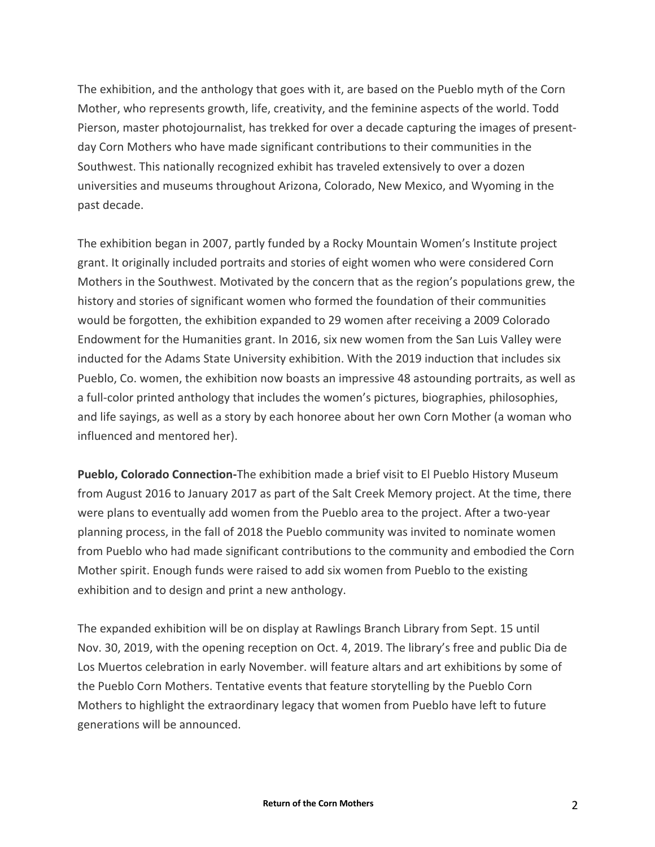The exhibition, and the anthology that goes with it, are based on the Pueblo myth of the Corn Mother, who represents growth, life, creativity, and the feminine aspects of the world. Todd Pierson, master photojournalist, has trekked for over a decade capturing the images of presentday Corn Mothers who have made significant contributions to their communities in the Southwest. This nationally recognized exhibit has traveled extensively to over a dozen universities and museums throughout Arizona, Colorado, New Mexico, and Wyoming in the past decade.

The exhibition began in 2007, partly funded by a Rocky Mountain Women's Institute project grant. It originally included portraits and stories of eight women who were considered Corn Mothers in the Southwest. Motivated by the concern that as the region's populations grew, the history and stories of significant women who formed the foundation of their communities would be forgotten, the exhibition expanded to 29 women after receiving a 2009 Colorado Endowment for the Humanities grant. In 2016, six new women from the San Luis Valley were inducted for the Adams State University exhibition. With the 2019 induction that includes six Pueblo, Co. women, the exhibition now boasts an impressive 48 astounding portraits, as well as a full-color printed anthology that includes the women's pictures, biographies, philosophies, and life sayings, as well as a story by each honoree about her own Corn Mother (a woman who influenced and mentored her).

**Pueblo, Colorado Connection-**The exhibition made a brief visit to El Pueblo History Museum from August 2016 to January 2017 as part of the Salt Creek Memory project. At the time, there were plans to eventually add women from the Pueblo area to the project. After a two-year planning process, in the fall of 2018 the Pueblo community was invited to nominate women from Pueblo who had made significant contributions to the community and embodied the Corn Mother spirit. Enough funds were raised to add six women from Pueblo to the existing exhibition and to design and print a new anthology.

The expanded exhibition will be on display at Rawlings Branch Library from Sept. 15 until Nov. 30, 2019, with the opening reception on Oct. 4, 2019. The library's free and public Dia de Los Muertos celebration in early November. will feature altars and art exhibitions by some of the Pueblo Corn Mothers. Tentative events that feature storytelling by the Pueblo Corn Mothers to highlight the extraordinary legacy that women from Pueblo have left to future generations will be announced.